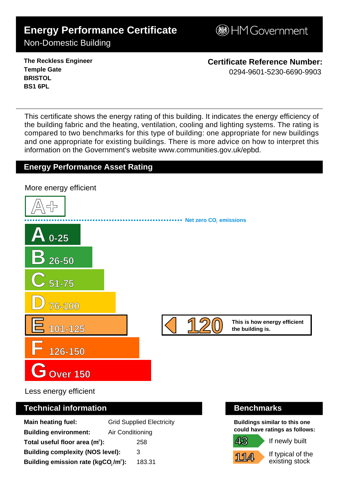# **Energy Performance Certificate**

**BHM Government** 

## Non-Domestic Building

**The Reckless Engineer Temple Gate BRISTOL BS1 6PL**

**Certificate Reference Number:** 0294-9601-5230-6690-9903

This certificate shows the energy rating of this building. It indicates the energy efficiency of the building fabric and the heating, ventilation, cooling and lighting systems. The rating is compared to two benchmarks for this type of building: one appropriate for new buildings and one appropriate for existing buildings. There is more advice on how to interpret this information on the Government's websit[e www.communities.gov.uk/epbd.](http://www.communities.gov.uk/epbd)

### **Energy Performance Asset Rating**

**A+ A 0-25 B 26-50 C 51-75 D 76-100 E 101-125 F 126-150 GOver 150 This is how energy efficient 120 the building is. Net zero CO**, emissions More energy efficient 1 2 0 - 0 2 9 4 - 9 6 0 1 - 5 2 3 0 - 6 6 9 0 - 9 9 0 3 - S K 2 3 4 1 1 2 6 8 8 5 3 0 - D C L G x E P C g e n 2 0 0

Less energy efficient

#### **Technical information Benchmarks**

| <b>Main heating fuel:</b>                                    |                  | <b>Grid Supplied Electricity</b> |
|--------------------------------------------------------------|------------------|----------------------------------|
| <b>Building environment:</b>                                 | Air Conditioning |                                  |
| Total useful floor area $(m2)$ :                             |                  | 258                              |
| <b>Building complexity (NOS level):</b>                      |                  | 3                                |
| Building emission rate (kgCO <sub>2</sub> /m <sup>2</sup> ): |                  | 183.31                           |

**Buildings similar to this one could have ratings as follows:**

If newly built

**114**

**43**

If typical of the existing stock